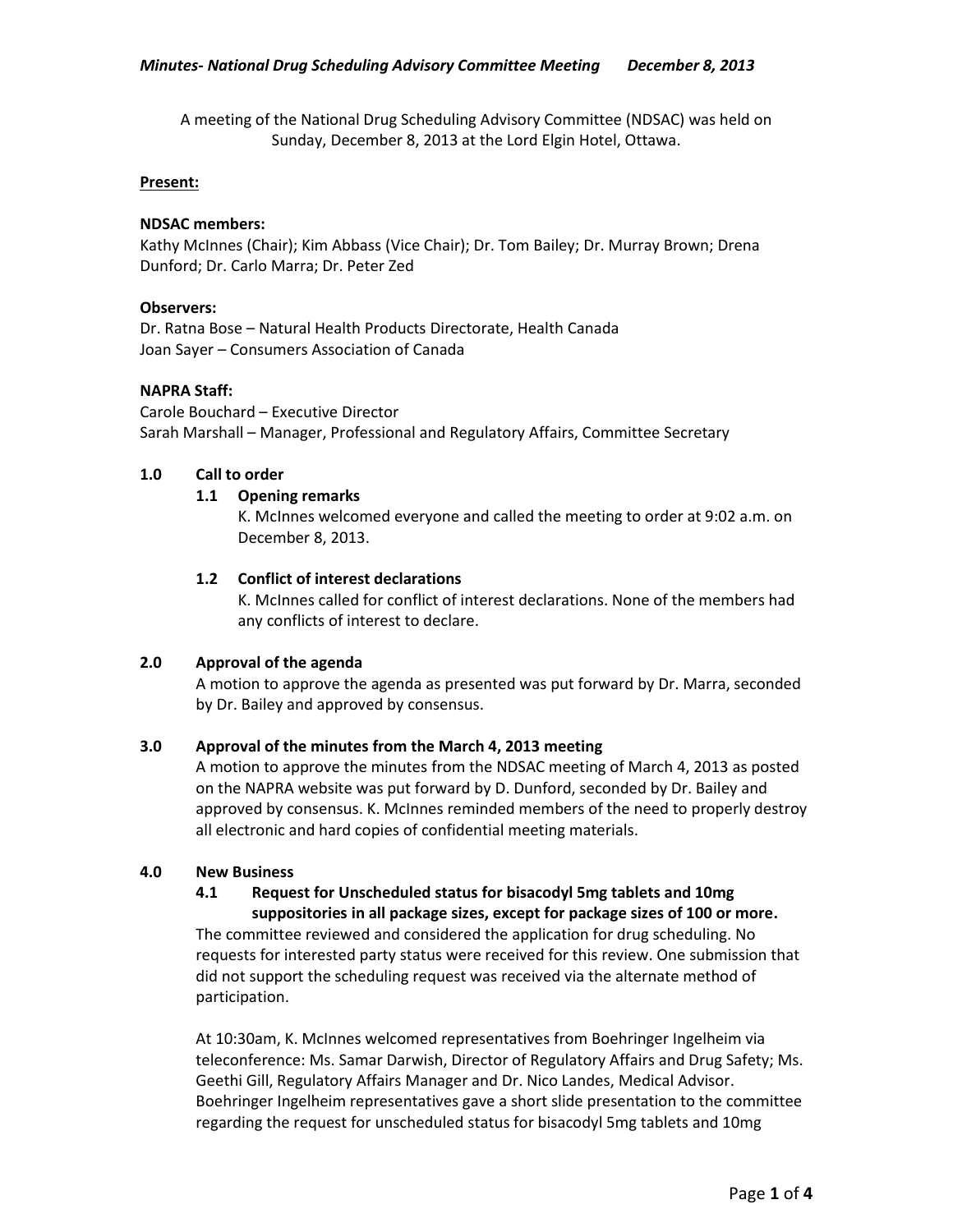A meeting of the National Drug Scheduling Advisory Committee (NDSAC) was held on Sunday, December 8, 2013 at the Lord Elgin Hotel, Ottawa.

#### **Present:**

### **NDSAC members:**

Kathy McInnes (Chair); Kim Abbass (Vice Chair); Dr. Tom Bailey; Dr. Murray Brown; Drena Dunford; Dr. Carlo Marra; Dr. Peter Zed

#### **Observers:**

Dr. Ratna Bose – Natural Health Products Directorate, Health Canada Joan Sayer – Consumers Association of Canada

### **NAPRA Staff:**

Carole Bouchard – Executive Director Sarah Marshall – Manager, Professional and Regulatory Affairs, Committee Secretary

### **1.0 Call to order**

# **1.1 Opening remarks**

K. McInnes welcomed everyone and called the meeting to order at 9:02 a.m. on December 8, 2013.

### **1.2 Conflict of interest declarations**

K. McInnes called for conflict of interest declarations. None of the members had any conflicts of interest to declare.

#### **2.0 Approval of the agenda**

A motion to approve the agenda as presented was put forward by Dr. Marra, seconded by Dr. Bailey and approved by consensus.

#### **3.0 Approval of the minutes from the March 4, 2013 meeting**

A motion to approve the minutes from the NDSAC meeting of March 4, 2013 as posted on the NAPRA website was put forward by D. Dunford, seconded by Dr. Bailey and approved by consensus. K. McInnes reminded members of the need to properly destroy all electronic and hard copies of confidential meeting materials.

#### **4.0 New Business**

# **4.1 Request for Unscheduled status for bisacodyl 5mg tablets and 10mg suppositories in all package sizes, except for package sizes of 100 or more.**

The committee reviewed and considered the application for drug scheduling. No requests for interested party status were received for this review. One submission that did not support the scheduling request was received via the alternate method of participation.

At 10:30am, K. McInnes welcomed representatives from Boehringer Ingelheim via teleconference: Ms. Samar Darwish, Director of Regulatory Affairs and Drug Safety; Ms. Geethi Gill, Regulatory Affairs Manager and Dr. Nico Landes, Medical Advisor. Boehringer Ingelheim representatives gave a short slide presentation to the committee regarding the request for unscheduled status for bisacodyl 5mg tablets and 10mg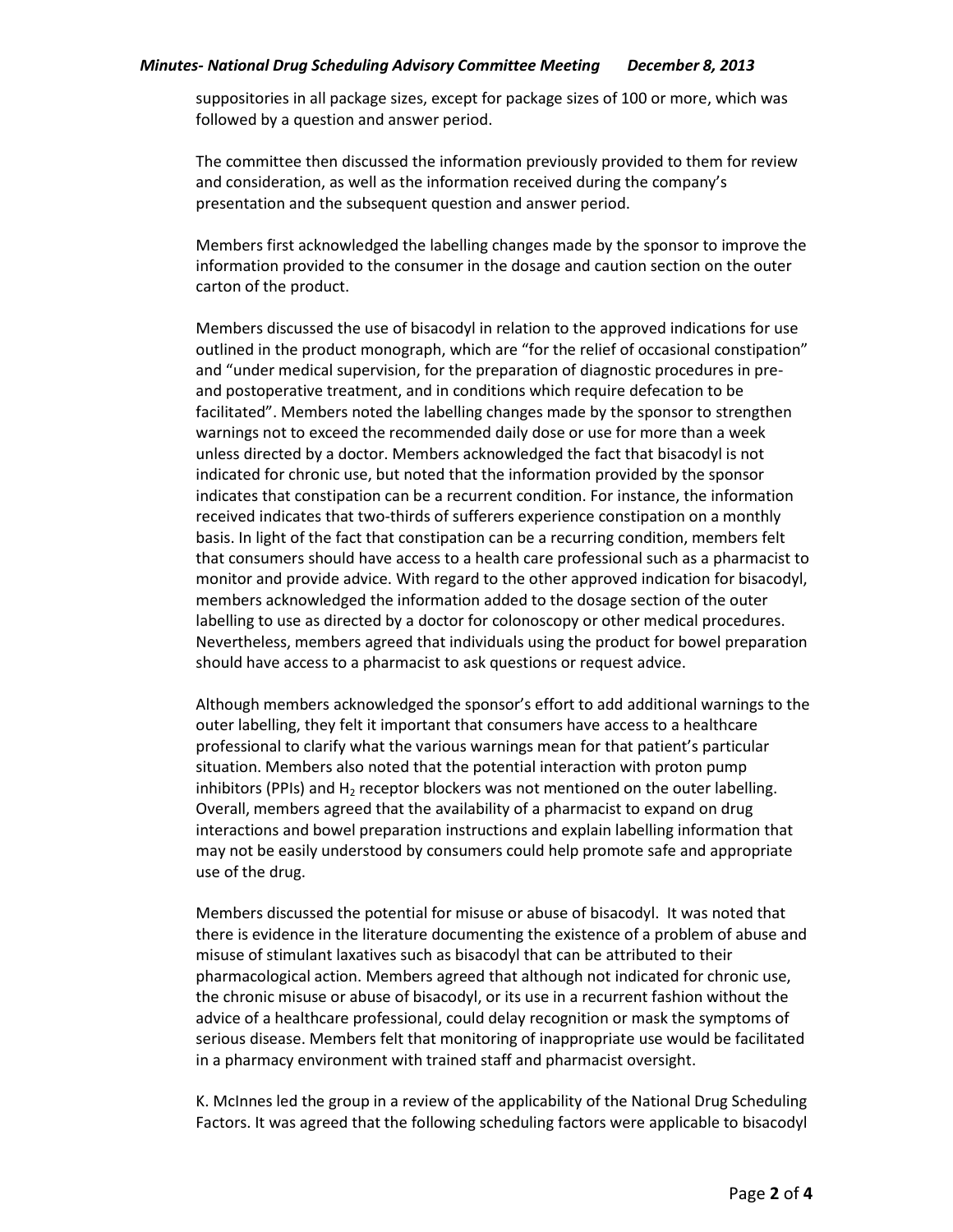#### *Minutes- National Drug Scheduling Advisory Committee Meeting December 8, 2013*

suppositories in all package sizes, except for package sizes of 100 or more, which was followed by a question and answer period.

The committee then discussed the information previously provided to them for review and consideration, as well as the information received during the company's presentation and the subsequent question and answer period.

Members first acknowledged the labelling changes made by the sponsor to improve the information provided to the consumer in the dosage and caution section on the outer carton of the product.

Members discussed the use of bisacodyl in relation to the approved indications for use outlined in the product monograph, which are "for the relief of occasional constipation" and "under medical supervision, for the preparation of diagnostic procedures in preand postoperative treatment, and in conditions which require defecation to be facilitated". Members noted the labelling changes made by the sponsor to strengthen warnings not to exceed the recommended daily dose or use for more than a week unless directed by a doctor. Members acknowledged the fact that bisacodyl is not indicated for chronic use, but noted that the information provided by the sponsor indicates that constipation can be a recurrent condition. For instance, the information received indicates that two-thirds of sufferers experience constipation on a monthly basis. In light of the fact that constipation can be a recurring condition, members felt that consumers should have access to a health care professional such as a pharmacist to monitor and provide advice. With regard to the other approved indication for bisacodyl, members acknowledged the information added to the dosage section of the outer labelling to use as directed by a doctor for colonoscopy or other medical procedures. Nevertheless, members agreed that individuals using the product for bowel preparation should have access to a pharmacist to ask questions or request advice.

Although members acknowledged the sponsor's effort to add additional warnings to the outer labelling, they felt it important that consumers have access to a healthcare professional to clarify what the various warnings mean for that patient's particular situation. Members also noted that the potential interaction with proton pump inhibitors (PPIs) and  $H_2$  receptor blockers was not mentioned on the outer labelling. Overall, members agreed that the availability of a pharmacist to expand on drug interactions and bowel preparation instructions and explain labelling information that may not be easily understood by consumers could help promote safe and appropriate use of the drug.

Members discussed the potential for misuse or abuse of bisacodyl. It was noted that there is evidence in the literature documenting the existence of a problem of abuse and misuse of stimulant laxatives such as bisacodyl that can be attributed to their pharmacological action. Members agreed that although not indicated for chronic use, the chronic misuse or abuse of bisacodyl, or its use in a recurrent fashion without the advice of a healthcare professional, could delay recognition or mask the symptoms of serious disease. Members felt that monitoring of inappropriate use would be facilitated in a pharmacy environment with trained staff and pharmacist oversight.

K. McInnes led the group in a review of the applicability of the National Drug Scheduling Factors. It was agreed that the following scheduling factors were applicable to bisacodyl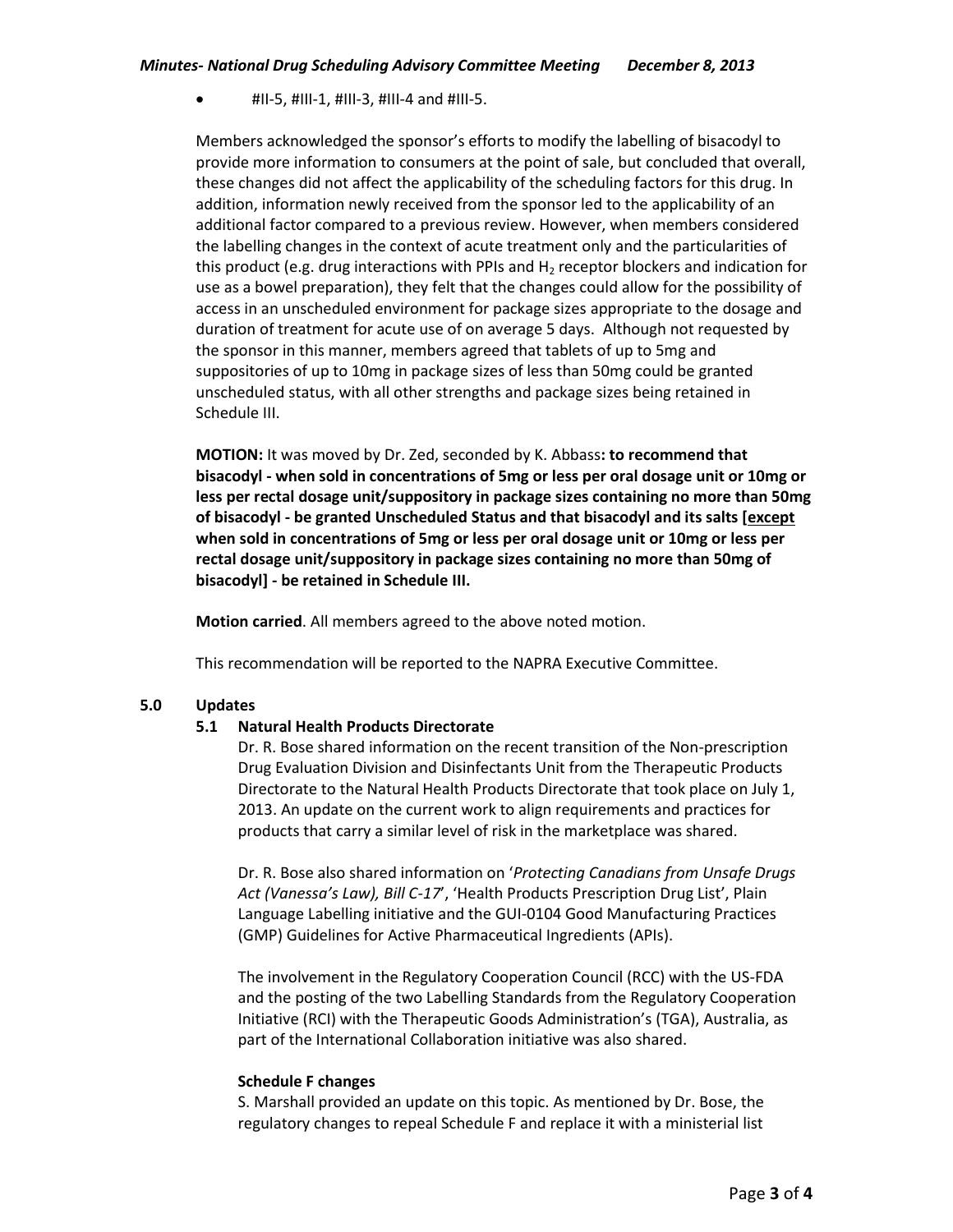$\bullet$  #II-5, #III-1, #III-3, #III-4 and #III-5.

Members acknowledged the sponsor's efforts to modify the labelling of bisacodyl to provide more information to consumers at the point of sale, but concluded that overall, these changes did not affect the applicability of the scheduling factors for this drug. In addition, information newly received from the sponsor led to the applicability of an additional factor compared to a previous review. However, when members considered the labelling changes in the context of acute treatment only and the particularities of this product (e.g. drug interactions with PPIs and  $H_2$  receptor blockers and indication for use as a bowel preparation), they felt that the changes could allow for the possibility of access in an unscheduled environment for package sizes appropriate to the dosage and duration of treatment for acute use of on average 5 days. Although not requested by the sponsor in this manner, members agreed that tablets of up to 5mg and suppositories of up to 10mg in package sizes of less than 50mg could be granted unscheduled status, with all other strengths and package sizes being retained in Schedule III.

**MOTION:** It was moved by Dr. Zed, seconded by K. Abbass**: to recommend that bisacodyl - when sold in concentrations of 5mg or less per oral dosage unit or 10mg or less per rectal dosage unit/suppository in package sizes containing no more than 50mg of bisacodyl - be granted Unscheduled Status and that bisacodyl and its salts [except when sold in concentrations of 5mg or less per oral dosage unit or 10mg or less per rectal dosage unit/suppository in package sizes containing no more than 50mg of bisacodyl] - be retained in Schedule III.**

**Motion carried**. All members agreed to the above noted motion.

This recommendation will be reported to the NAPRA Executive Committee.

# **5.0 Updates**

# **5.1 Natural Health Products Directorate**

Dr. R. Bose shared information on the recent transition of the Non-prescription Drug Evaluation Division and Disinfectants Unit from the Therapeutic Products Directorate to the Natural Health Products Directorate that took place on July 1, 2013. An update on the current work to align requirements and practices for products that carry a similar level of risk in the marketplace was shared.

Dr. R. Bose also shared information on '*Protecting Canadians from Unsafe Drugs Act (Vanessa's Law), Bill C-17*', 'Health Products Prescription Drug List', Plain Language Labelling initiative and the GUI-0104 Good Manufacturing Practices (GMP) Guidelines for Active Pharmaceutical Ingredients (APIs).

The involvement in the Regulatory Cooperation Council (RCC) with the US-FDA and the posting of the two Labelling Standards from the Regulatory Cooperation Initiative (RCI) with the Therapeutic Goods Administration's (TGA), Australia, as part of the International Collaboration initiative was also shared.

#### **Schedule F changes**

S. Marshall provided an update on this topic. As mentioned by Dr. Bose, the regulatory changes to repeal Schedule F and replace it with a ministerial list